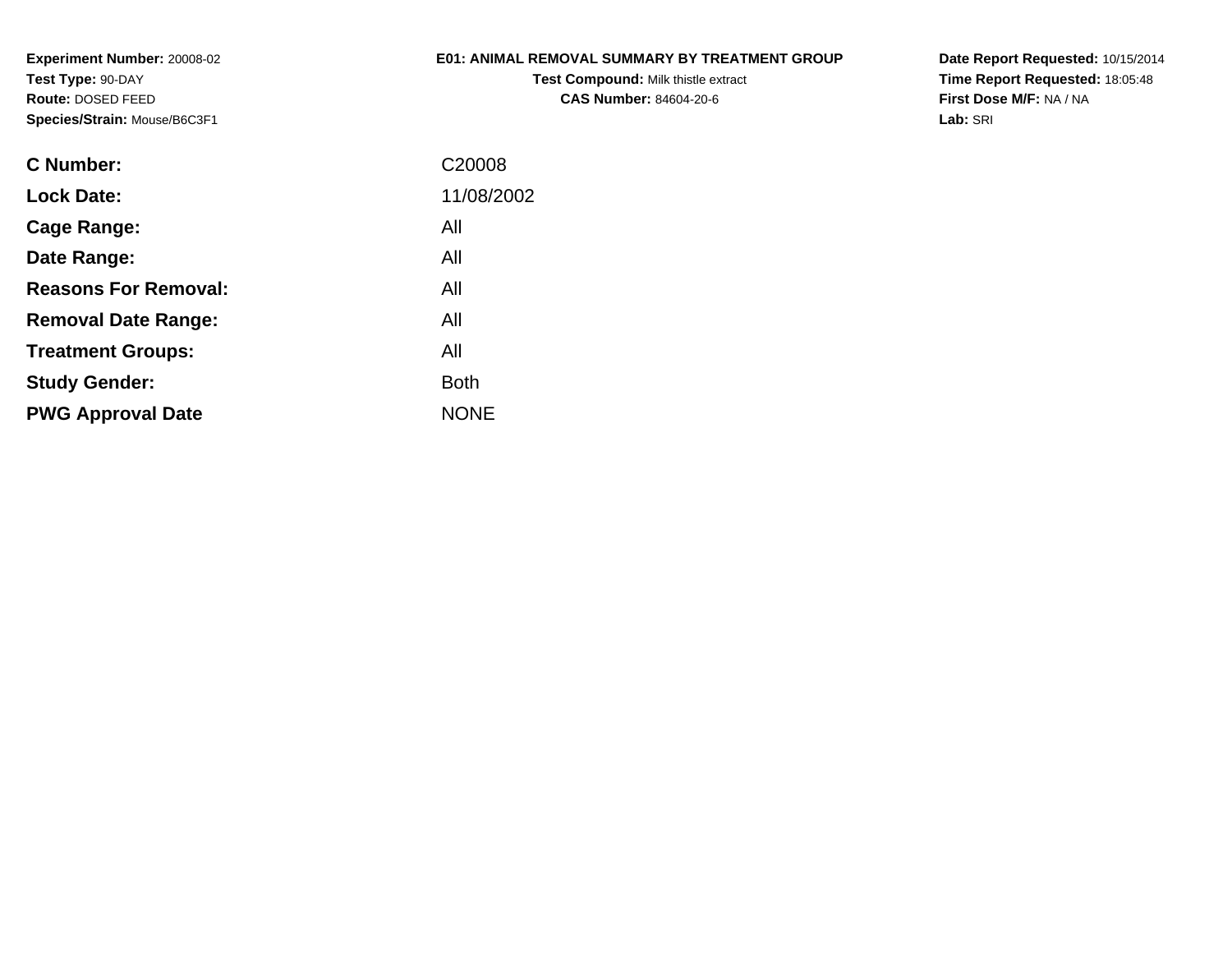# **E01: ANIMAL REMOVAL SUMMARY BY TREATMENT GROUP**

**Test Compound:** Milk thistle extract**CAS Number:** 84604-20-6

**Date Report Requested:** 10/15/2014 **Time Report Requested:** 18:05:48**First Dose M/F:** NA / NA**Lab:** SRI

| C Number:                   | C20008      |
|-----------------------------|-------------|
| <b>Lock Date:</b>           | 11/08/2002  |
| Cage Range:                 | All         |
| Date Range:                 | All         |
| <b>Reasons For Removal:</b> | All         |
| <b>Removal Date Range:</b>  | All         |
| <b>Treatment Groups:</b>    | All         |
| <b>Study Gender:</b>        | <b>Both</b> |
| <b>PWG Approval Date</b>    | <b>NONE</b> |
|                             |             |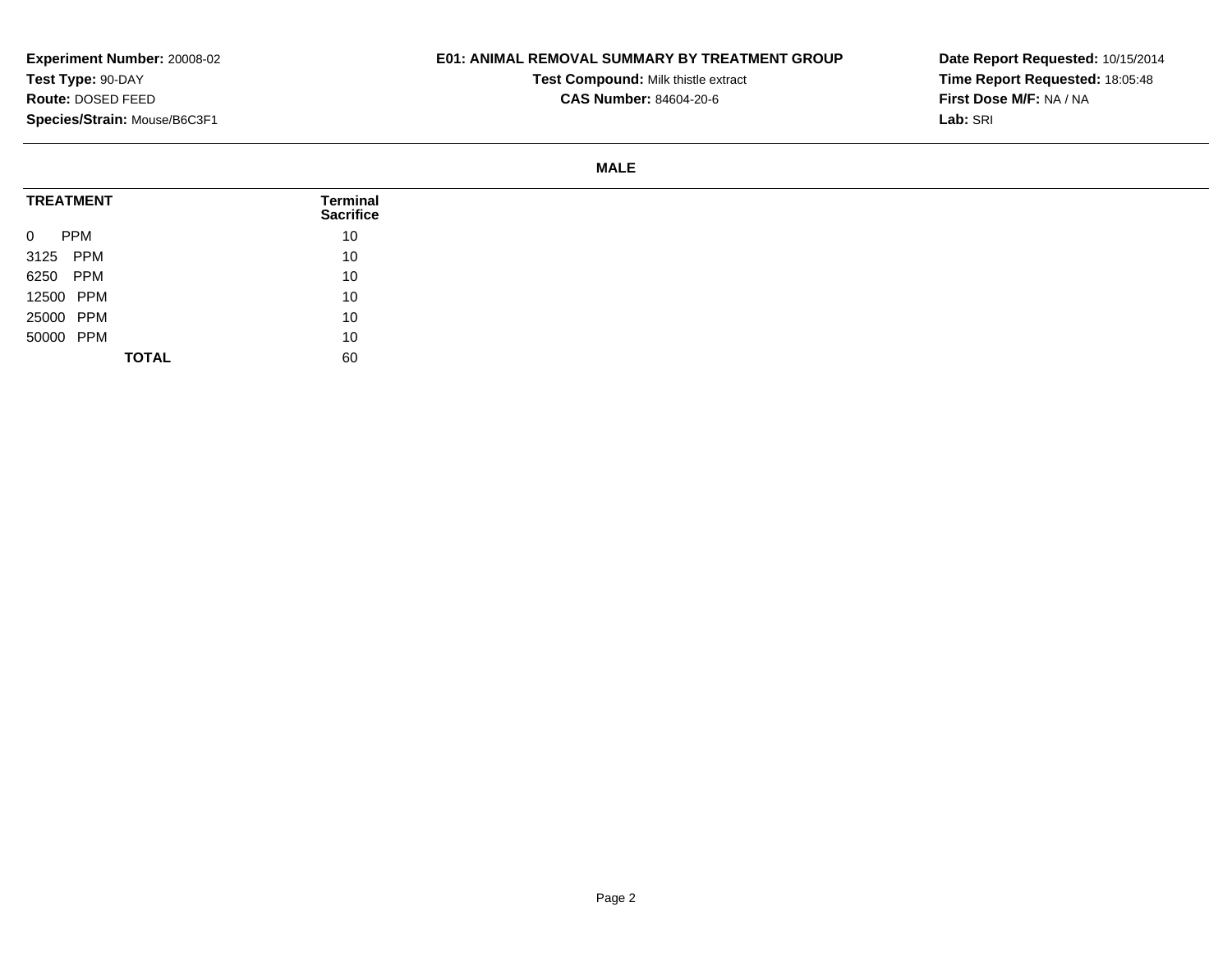### **E01: ANIMAL REMOVAL SUMMARY BY TREATMENT GROUP**

**Test Compound:** Milk thistle extract

**CAS Number:** 84604-20-6

**Date Report Requested:** 10/15/2014**Time Report Requested:** 18:05:48**First Dose M/F:** NA / NA**Lab:** SRI

#### **MALE**

| <b>TREATMENT</b>             | Terminal<br><b>Sacrifice</b> |
|------------------------------|------------------------------|
| $\overline{0}$<br><b>PPM</b> | 10                           |
| 3125 PPM                     | 10                           |
| 6250 PPM                     | 10                           |
| 12500 PPM                    | 10                           |
| 25000 PPM                    | 10                           |
| 50000 PPM                    | 10                           |
| <b>TOTAL</b>                 | 60                           |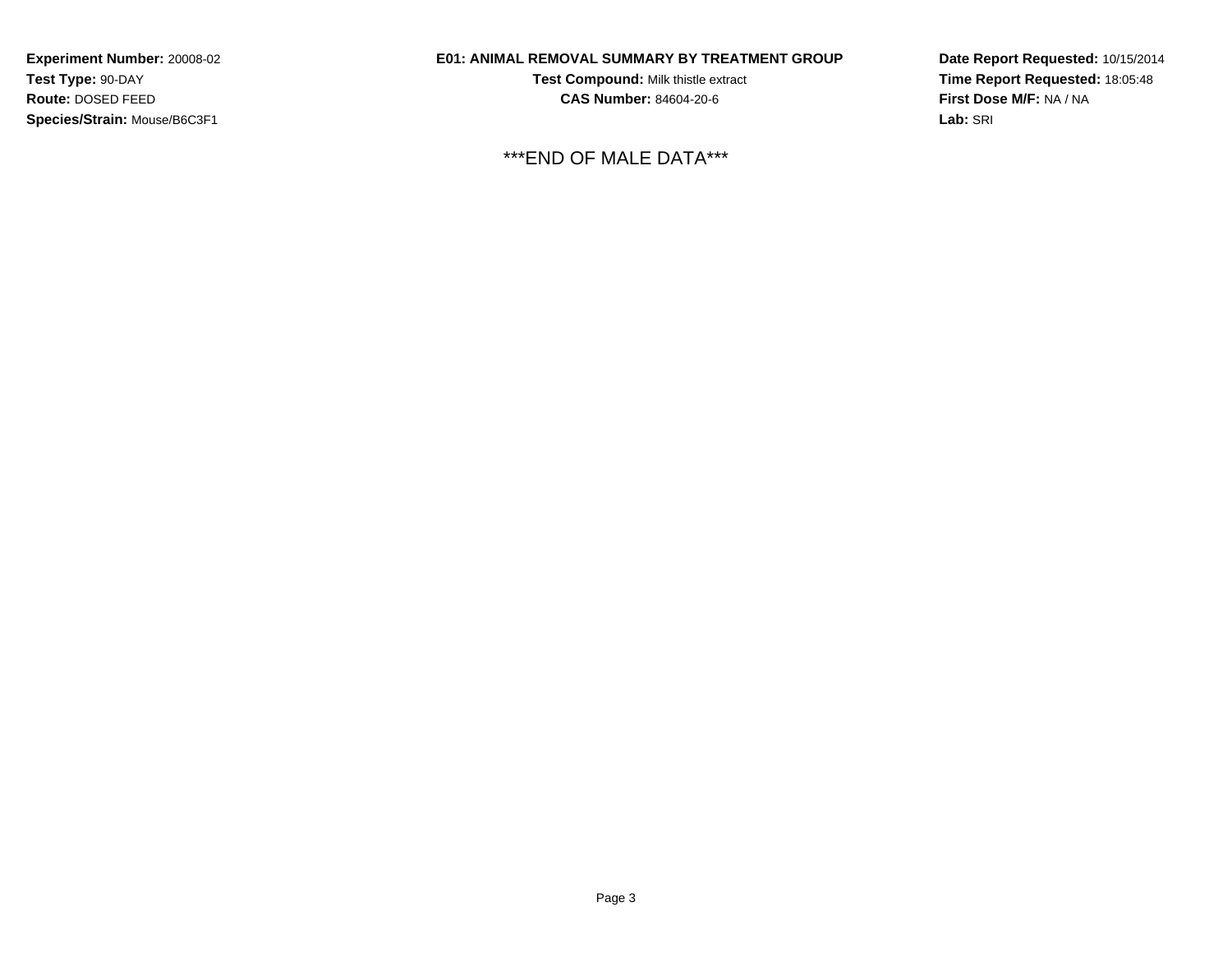# **E01: ANIMAL REMOVAL SUMMARY BY TREATMENT GROUP**

**Test Compound:** Milk thistle extract**CAS Number:** 84604-20-6

\*\*\*END OF MALE DATA\*\*\*

**Date Report Requested:** 10/15/2014**Time Report Requested:** 18:05:48**First Dose M/F:** NA / NA**Lab:** SRI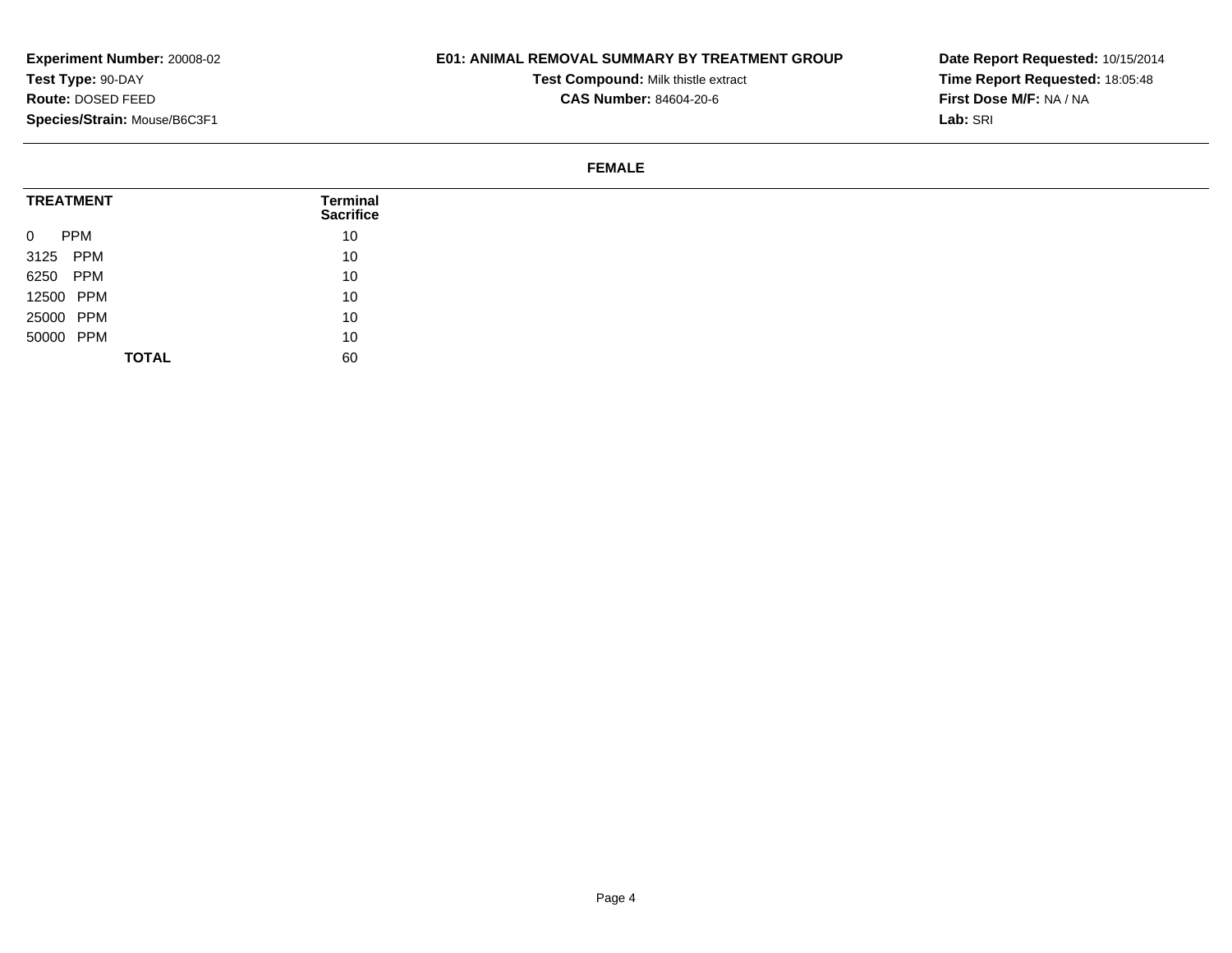## **E01: ANIMAL REMOVAL SUMMARY BY TREATMENT GROUP**

**Test Compound:** Milk thistle extract

**CAS Number:** 84604-20-6

**Date Report Requested:** 10/15/2014**Time Report Requested:** 18:05:48**First Dose M/F:** NA / NA**Lab:** SRI

#### **FEMALE**

| <b>TREATMENT</b>             | <b>Terminal</b><br><b>Sacrifice</b> |
|------------------------------|-------------------------------------|
| <b>PPM</b><br>$\overline{0}$ | 10                                  |
| 3125 PPM                     | 10                                  |
| 6250 PPM                     | 10                                  |
| 12500 PPM                    | 10                                  |
| 25000 PPM                    | 10                                  |
| 50000 PPM                    | 10                                  |
| <b>TOTAL</b>                 | 60                                  |